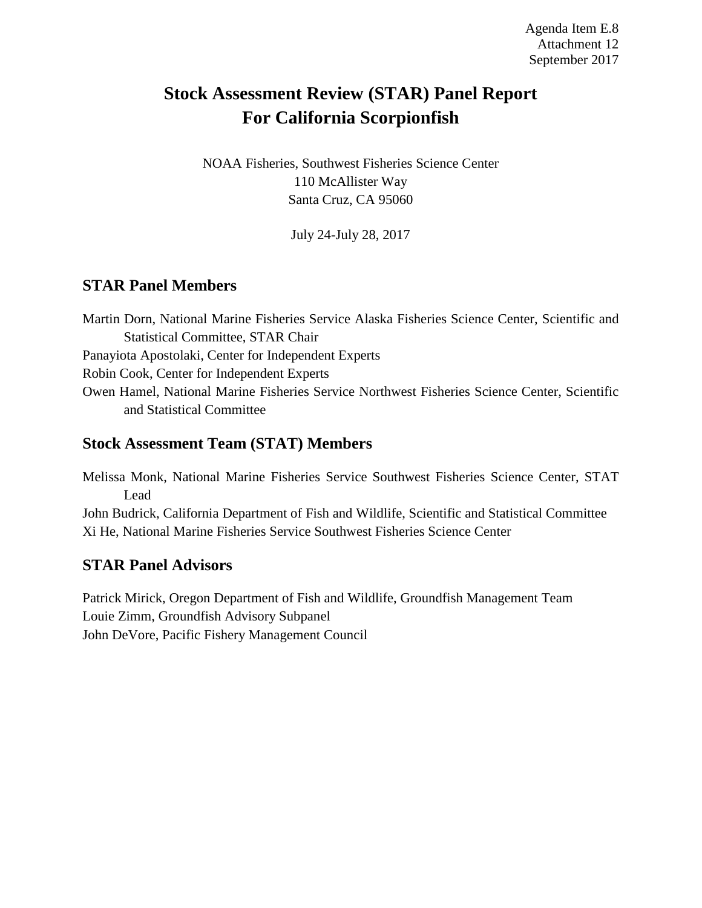# **Stock Assessment Review (STAR) Panel Report For California Scorpionfish**

NOAA Fisheries, Southwest Fisheries Science Center 110 McAllister Way Santa Cruz, CA 95060

July 24-July 28, 2017

### **STAR Panel Members**

Martin Dorn, National Marine Fisheries Service Alaska Fisheries Science Center, Scientific and Statistical Committee, STAR Chair Panayiota Apostolaki, Center for Independent Experts Robin Cook, Center for Independent Experts

Owen Hamel, National Marine Fisheries Service Northwest Fisheries Science Center, Scientific and Statistical Committee

#### **Stock Assessment Team (STAT) Members**

Melissa Monk, National Marine Fisheries Service Southwest Fisheries Science Center, STAT Lead

John Budrick, California Department of Fish and Wildlife, Scientific and Statistical Committee Xi He, National Marine Fisheries Service Southwest Fisheries Science Center

#### **STAR Panel Advisors**

Patrick Mirick, Oregon Department of Fish and Wildlife, Groundfish Management Team Louie Zimm, Groundfish Advisory Subpanel John DeVore, Pacific Fishery Management Council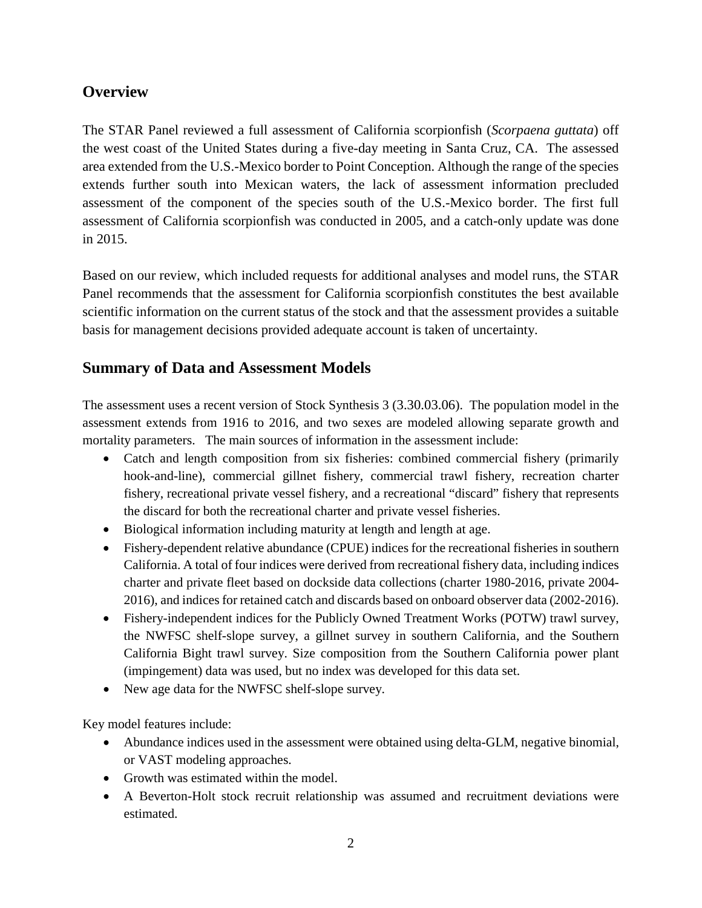#### **Overview**

The STAR Panel reviewed a full assessment of California scorpionfish (*Scorpaena guttata*) off the west coast of the United States during a five-day meeting in Santa Cruz, CA. The assessed area extended from the U.S.-Mexico border to Point Conception. Although the range of the species extends further south into Mexican waters, the lack of assessment information precluded assessment of the component of the species south of the U.S.-Mexico border. The first full assessment of California scorpionfish was conducted in 2005, and a catch-only update was done in 2015.

Based on our review, which included requests for additional analyses and model runs, the STAR Panel recommends that the assessment for California scorpionfish constitutes the best available scientific information on the current status of the stock and that the assessment provides a suitable basis for management decisions provided adequate account is taken of uncertainty.

### **Summary of Data and Assessment Models**

The assessment uses a recent version of Stock Synthesis 3 (3.30.03.06). The population model in the assessment extends from 1916 to 2016, and two sexes are modeled allowing separate growth and mortality parameters. The main sources of information in the assessment include:

- Catch and length composition from six fisheries: combined commercial fishery (primarily hook-and-line), commercial gillnet fishery, commercial trawl fishery, recreation charter fishery, recreational private vessel fishery, and a recreational "discard" fishery that represents the discard for both the recreational charter and private vessel fisheries.
- Biological information including maturity at length and length at age.
- Fishery-dependent relative abundance (CPUE) indices for the recreational fisheries in southern California. A total of four indices were derived from recreational fishery data, including indices charter and private fleet based on dockside data collections (charter 1980-2016, private 2004- 2016), and indices for retained catch and discards based on onboard observer data (2002-2016).
- Fishery-independent indices for the Publicly Owned Treatment Works (POTW) trawl survey, the NWFSC shelf-slope survey, a gillnet survey in southern California, and the Southern California Bight trawl survey. Size composition from the Southern California power plant (impingement) data was used, but no index was developed for this data set.
- New age data for the NWFSC shelf-slope survey.

Key model features include:

- Abundance indices used in the assessment were obtained using delta-GLM, negative binomial, or VAST modeling approaches.
- Growth was estimated within the model.
- A Beverton-Holt stock recruit relationship was assumed and recruitment deviations were estimated.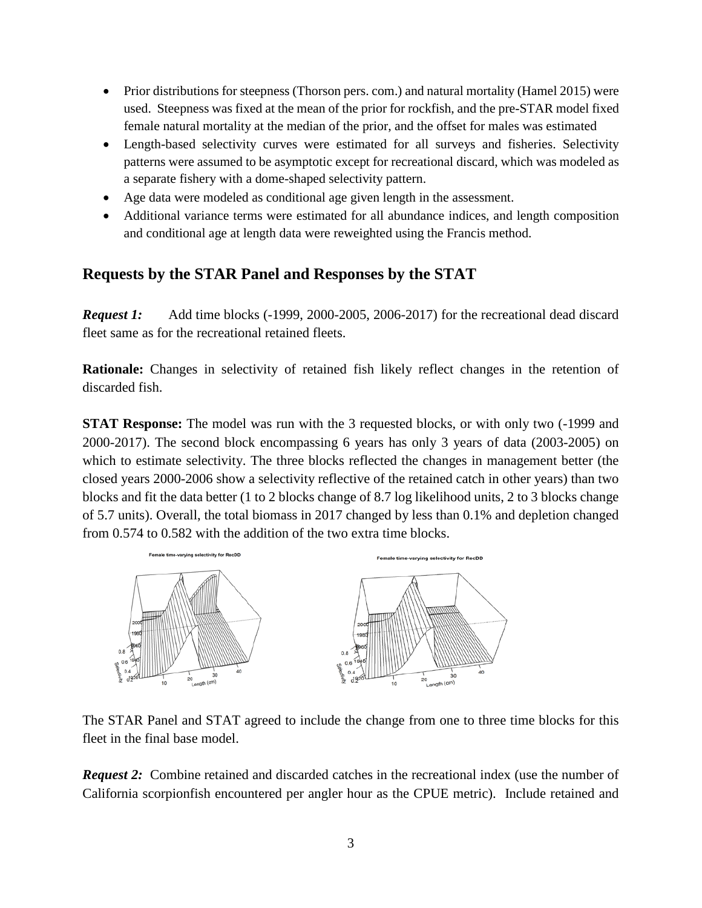- Prior distributions for steepness (Thorson pers. com.) and natural mortality (Hamel 2015) were used. Steepness was fixed at the mean of the prior for rockfish, and the pre-STAR model fixed female natural mortality at the median of the prior, and the offset for males was estimated
- Length-based selectivity curves were estimated for all surveys and fisheries. Selectivity patterns were assumed to be asymptotic except for recreational discard, which was modeled as a separate fishery with a dome-shaped selectivity pattern.
- Age data were modeled as conditional age given length in the assessment.
- Additional variance terms were estimated for all abundance indices, and length composition and conditional age at length data were reweighted using the Francis method.

#### **Requests by the STAR Panel and Responses by the STAT**

*Request 1:* Add time blocks (-1999, 2000-2005, 2006-2017) for the recreational dead discard fleet same as for the recreational retained fleets.

**Rationale:** Changes in selectivity of retained fish likely reflect changes in the retention of discarded fish.

**STAT Response:** The model was run with the 3 requested blocks, or with only two  $(-1999)$  and 2000-2017). The second block encompassing 6 years has only 3 years of data (2003-2005) on which to estimate selectivity. The three blocks reflected the changes in management better (the closed years 2000-2006 show a selectivity reflective of the retained catch in other years) than two blocks and fit the data better (1 to 2 blocks change of 8.7 log likelihood units, 2 to 3 blocks change of 5.7 units). Overall, the total biomass in 2017 changed by less than 0.1% and depletion changed from 0.574 to 0.582 with the addition of the two extra time blocks.



The STAR Panel and STAT agreed to include the change from one to three time blocks for this fleet in the final base model.

*Request 2:* Combine retained and discarded catches in the recreational index (use the number of California scorpionfish encountered per angler hour as the CPUE metric). Include retained and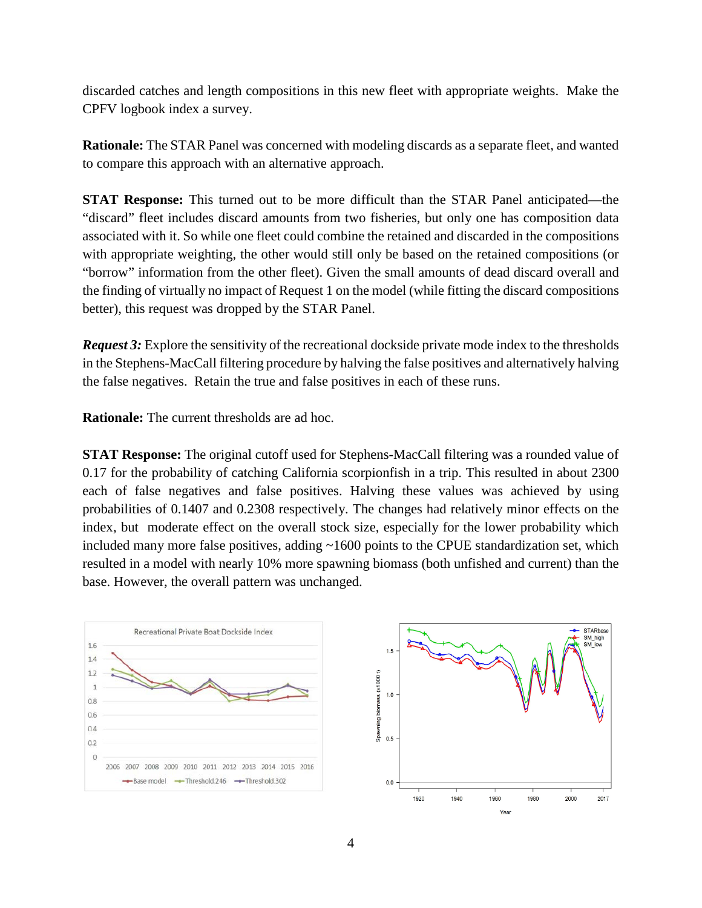discarded catches and length compositions in this new fleet with appropriate weights. Make the CPFV logbook index a survey.

**Rationale:** The STAR Panel was concerned with modeling discards as a separate fleet, and wanted to compare this approach with an alternative approach.

**STAT Response:** This turned out to be more difficult than the STAR Panel anticipated—the "discard" fleet includes discard amounts from two fisheries, but only one has composition data associated with it. So while one fleet could combine the retained and discarded in the compositions with appropriate weighting, the other would still only be based on the retained compositions (or "borrow" information from the other fleet). Given the small amounts of dead discard overall and the finding of virtually no impact of Request 1 on the model (while fitting the discard compositions better), this request was dropped by the STAR Panel.

*Request 3:* Explore the sensitivity of the recreational dockside private mode index to the thresholds in the Stephens-MacCall filtering procedure by halving the false positives and alternatively halving the false negatives. Retain the true and false positives in each of these runs.

**Rationale:** The current thresholds are ad hoc.

**STAT Response:** The original cutoff used for Stephens-MacCall filtering was a rounded value of 0.17 for the probability of catching California scorpionfish in a trip. This resulted in about 2300 each of false negatives and false positives. Halving these values was achieved by using probabilities of 0.1407 and 0.2308 respectively. The changes had relatively minor effects on the index, but moderate effect on the overall stock size, especially for the lower probability which included many more false positives, adding  $\sim$ 1600 points to the CPUE standardization set, which resulted in a model with nearly 10% more spawning biomass (both unfished and current) than the base. However, the overall pattern was unchanged.



Vea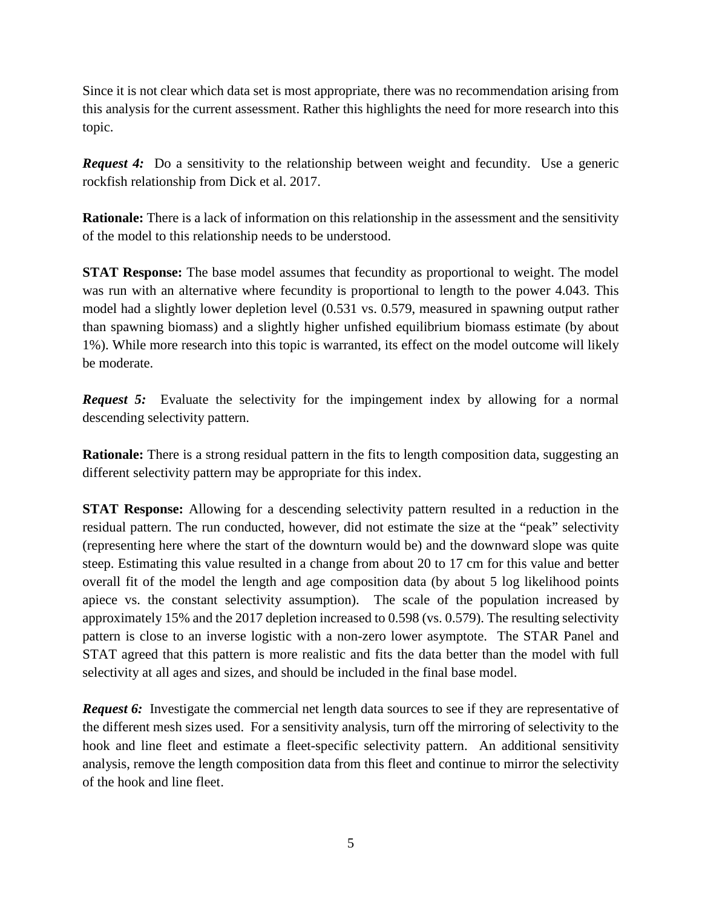Since it is not clear which data set is most appropriate, there was no recommendation arising from this analysis for the current assessment. Rather this highlights the need for more research into this topic.

*Request 4:* Do a sensitivity to the relationship between weight and fecundity. Use a generic rockfish relationship from Dick et al. 2017.

**Rationale:** There is a lack of information on this relationship in the assessment and the sensitivity of the model to this relationship needs to be understood.

**STAT Response:** The base model assumes that fecundity as proportional to weight. The model was run with an alternative where fecundity is proportional to length to the power 4.043. This model had a slightly lower depletion level (0.531 vs. 0.579, measured in spawning output rather than spawning biomass) and a slightly higher unfished equilibrium biomass estimate (by about 1%). While more research into this topic is warranted, its effect on the model outcome will likely be moderate.

*Request 5:* Evaluate the selectivity for the impingement index by allowing for a normal descending selectivity pattern.

**Rationale:** There is a strong residual pattern in the fits to length composition data, suggesting an different selectivity pattern may be appropriate for this index.

**STAT Response:** Allowing for a descending selectivity pattern resulted in a reduction in the residual pattern. The run conducted, however, did not estimate the size at the "peak" selectivity (representing here where the start of the downturn would be) and the downward slope was quite steep. Estimating this value resulted in a change from about 20 to 17 cm for this value and better overall fit of the model the length and age composition data (by about 5 log likelihood points apiece vs. the constant selectivity assumption). The scale of the population increased by approximately 15% and the 2017 depletion increased to 0.598 (vs. 0.579). The resulting selectivity pattern is close to an inverse logistic with a non-zero lower asymptote. The STAR Panel and STAT agreed that this pattern is more realistic and fits the data better than the model with full selectivity at all ages and sizes, and should be included in the final base model.

*Request 6:* Investigate the commercial net length data sources to see if they are representative of the different mesh sizes used. For a sensitivity analysis, turn off the mirroring of selectivity to the hook and line fleet and estimate a fleet-specific selectivity pattern. An additional sensitivity analysis, remove the length composition data from this fleet and continue to mirror the selectivity of the hook and line fleet.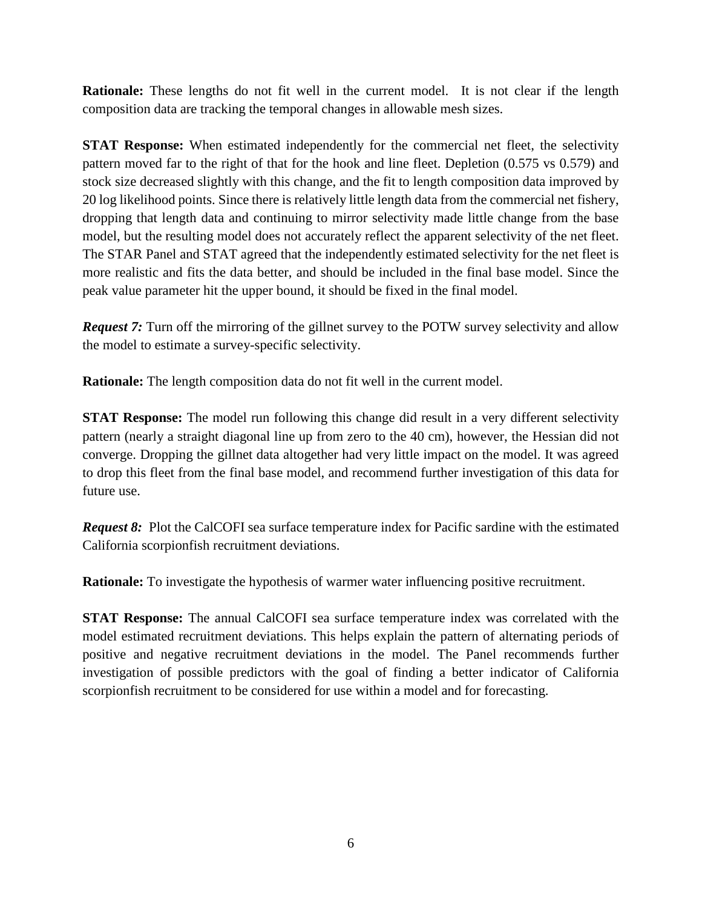**Rationale:** These lengths do not fit well in the current model. It is not clear if the length composition data are tracking the temporal changes in allowable mesh sizes.

**STAT Response:** When estimated independently for the commercial net fleet, the selectivity pattern moved far to the right of that for the hook and line fleet. Depletion (0.575 vs 0.579) and stock size decreased slightly with this change, and the fit to length composition data improved by 20 log likelihood points. Since there is relatively little length data from the commercial net fishery, dropping that length data and continuing to mirror selectivity made little change from the base model, but the resulting model does not accurately reflect the apparent selectivity of the net fleet. The STAR Panel and STAT agreed that the independently estimated selectivity for the net fleet is more realistic and fits the data better, and should be included in the final base model. Since the peak value parameter hit the upper bound, it should be fixed in the final model.

**Request 7:** Turn off the mirroring of the gillnet survey to the POTW survey selectivity and allow the model to estimate a survey-specific selectivity.

**Rationale:** The length composition data do not fit well in the current model.

**STAT Response:** The model run following this change did result in a very different selectivity pattern (nearly a straight diagonal line up from zero to the 40 cm), however, the Hessian did not converge. Dropping the gillnet data altogether had very little impact on the model. It was agreed to drop this fleet from the final base model, and recommend further investigation of this data for future use.

*Request 8:* Plot the CalCOFI sea surface temperature index for Pacific sardine with the estimated California scorpionfish recruitment deviations.

**Rationale:** To investigate the hypothesis of warmer water influencing positive recruitment.

**STAT Response:** The annual CalCOFI sea surface temperature index was correlated with the model estimated recruitment deviations. This helps explain the pattern of alternating periods of positive and negative recruitment deviations in the model. The Panel recommends further investigation of possible predictors with the goal of finding a better indicator of California scorpionfish recruitment to be considered for use within a model and for forecasting.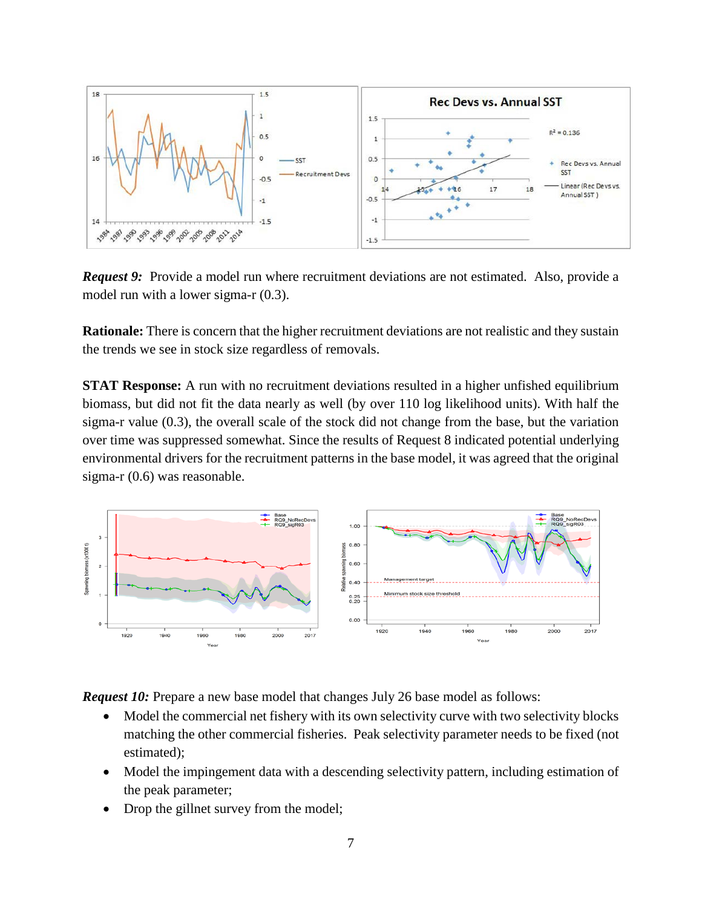

*Request 9:* Provide a model run where recruitment deviations are not estimated. Also, provide a model run with a lower sigma-r (0.3).

**Rationale:** There is concern that the higher recruitment deviations are not realistic and they sustain the trends we see in stock size regardless of removals.

**STAT Response:** A run with no recruitment deviations resulted in a higher unfished equilibrium biomass, but did not fit the data nearly as well (by over 110 log likelihood units). With half the sigma-r value (0.3), the overall scale of the stock did not change from the base, but the variation over time was suppressed somewhat. Since the results of Request 8 indicated potential underlying environmental drivers for the recruitment patterns in the base model, it was agreed that the original sigma-r (0.6) was reasonable.



*Request 10:* Prepare a new base model that changes July 26 base model as follows:

- Model the commercial net fishery with its own selectivity curve with two selectivity blocks matching the other commercial fisheries. Peak selectivity parameter needs to be fixed (not estimated);
- Model the impingement data with a descending selectivity pattern, including estimation of the peak parameter;
- Drop the gillnet survey from the model;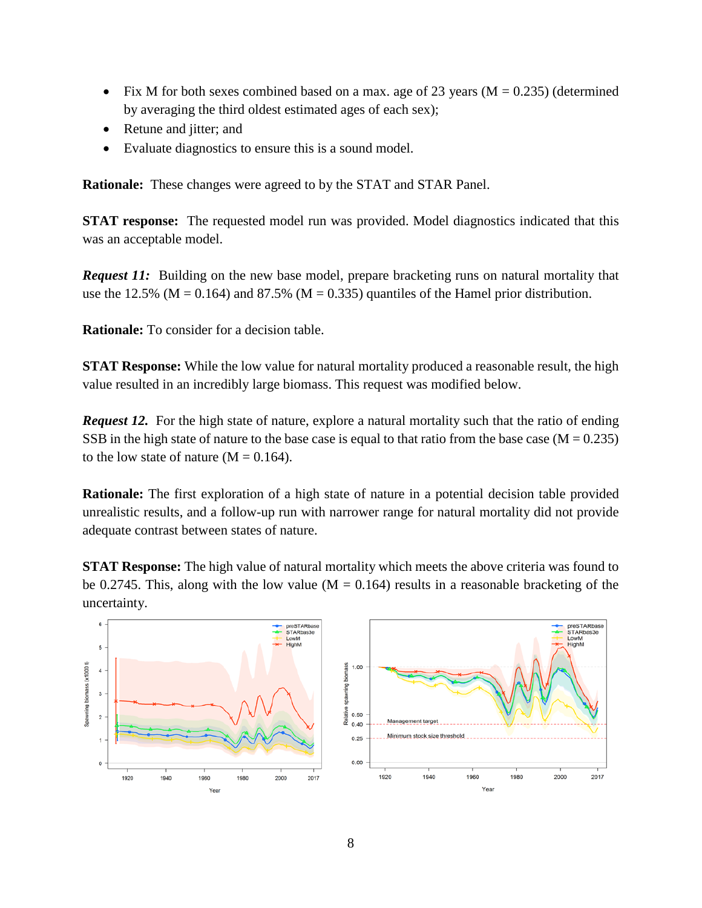- Fix M for both sexes combined based on a max. age of 23 years ( $M = 0.235$ ) (determined by averaging the third oldest estimated ages of each sex);
- Retune and jitter; and
- Evaluate diagnostics to ensure this is a sound model.

**Rationale:** These changes were agreed to by the STAT and STAR Panel.

**STAT response:** The requested model run was provided. Model diagnostics indicated that this was an acceptable model.

*Request 11:* Building on the new base model, prepare bracketing runs on natural mortality that use the 12.5% ( $M = 0.164$ ) and 87.5% ( $M = 0.335$ ) quantiles of the Hamel prior distribution.

**Rationale:** To consider for a decision table.

**STAT Response:** While the low value for natural mortality produced a reasonable result, the high value resulted in an incredibly large biomass. This request was modified below.

*Request 12.* For the high state of nature, explore a natural mortality such that the ratio of ending SSB in the high state of nature to the base case is equal to that ratio from the base case ( $M = 0.235$ ) to the low state of nature  $(M = 0.164)$ .

**Rationale:** The first exploration of a high state of nature in a potential decision table provided unrealistic results, and a follow-up run with narrower range for natural mortality did not provide adequate contrast between states of nature.

**STAT Response:** The high value of natural mortality which meets the above criteria was found to be 0.2745. This, along with the low value ( $M = 0.164$ ) results in a reasonable bracketing of the uncertainty.

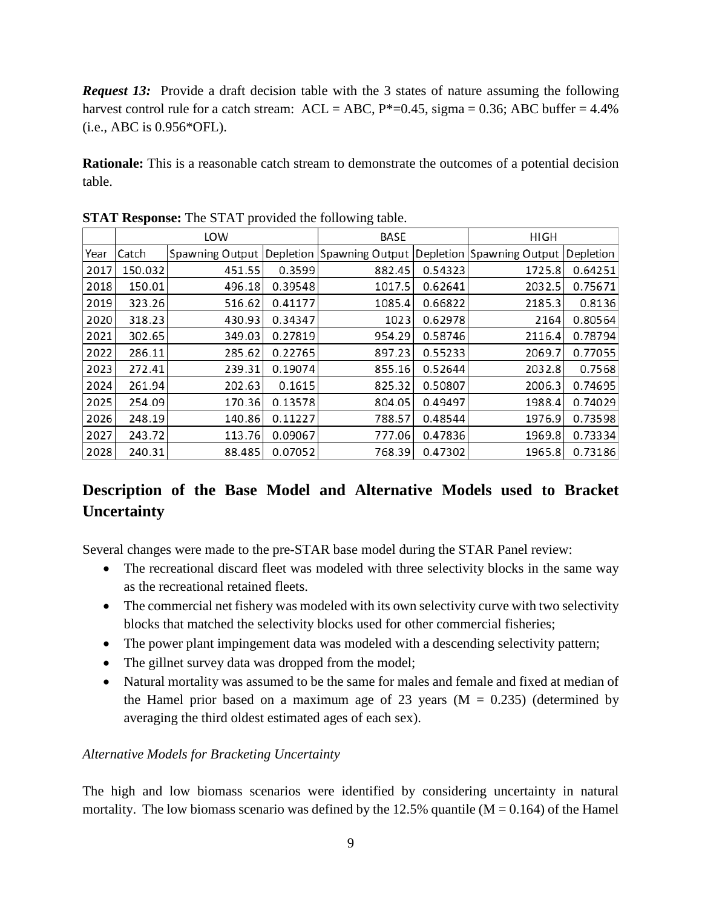*Request 13:* Provide a draft decision table with the 3 states of nature assuming the following harvest control rule for a catch stream:  $ACL = ABC$ ,  $P^*=0.45$ , sigma = 0.36; ABC buffer = 4.4% (i.e., ABC is 0.956\*OFL).

**Rationale:** This is a reasonable catch stream to demonstrate the outcomes of a potential decision table.

|      | LOW     |                 |           | BASE            |         | <b>HIGH</b>               |           |
|------|---------|-----------------|-----------|-----------------|---------|---------------------------|-----------|
| Year | Catch   | Spawning Output | Depletion | Spawning Output |         | Depletion Spawning Output | Depletion |
| 2017 | 150.032 | 451.55          | 0.3599    | 882.45          | 0.54323 | 1725.8                    | 0.64251   |
| 2018 | 150.01  | 496.18          | 0.39548   | 1017.5          | 0.62641 | 2032.5                    | 0.75671   |
| 2019 | 323.26  | 516.62          | 0.41177   | 1085.4          | 0.66822 | 2185.3                    | 0.8136    |
| 2020 | 318.23  | 430.93          | 0.34347   | 1023            | 0.62978 | 2164                      | 0.80564   |
| 2021 | 302.65  | 349.03          | 0.27819   | 954.29          | 0.58746 | 2116.4                    | 0.78794   |
| 2022 | 286.11  | 285.62          | 0.22765   | 897.23          | 0.55233 | 2069.7                    | 0.77055   |
| 2023 | 272.41  | 239.31          | 0.19074   | 855.16          | 0.52644 | 2032.8                    | 0.7568    |
| 2024 | 261.94  | 202.63          | 0.1615    | 825.32          | 0.50807 | 2006.3                    | 0.74695   |
| 2025 | 254.09  | 170.36          | 0.13578   | 804.05          | 0.49497 | 1988.4                    | 0.74029   |
| 2026 | 248.19  | 140.86          | 0.11227   | 788.57          | 0.48544 | 1976.9                    | 0.73598   |
| 2027 | 243.72  | 113.76          | 0.09067   | 777.06          | 0.47836 | 1969.8                    | 0.73334   |
| 2028 | 240.31  | 88.485          | 0.07052   | 768.39          | 0.47302 | 1965.8                    | 0.73186   |

**STAT Response:** The STAT provided the following table.

### **Description of the Base Model and Alternative Models used to Bracket Uncertainty**

Several changes were made to the pre-STAR base model during the STAR Panel review:

- The recreational discard fleet was modeled with three selectivity blocks in the same way as the recreational retained fleets.
- The commercial net fishery was modeled with its own selectivity curve with two selectivity blocks that matched the selectivity blocks used for other commercial fisheries;
- The power plant impingement data was modeled with a descending selectivity pattern;
- The gillnet survey data was dropped from the model;
- Natural mortality was assumed to be the same for males and female and fixed at median of the Hamel prior based on a maximum age of 23 years  $(M = 0.235)$  (determined by averaging the third oldest estimated ages of each sex).

#### *Alternative Models for Bracketing Uncertainty*

The high and low biomass scenarios were identified by considering uncertainty in natural mortality. The low biomass scenario was defined by the 12.5% quantile  $(M = 0.164)$  of the Hamel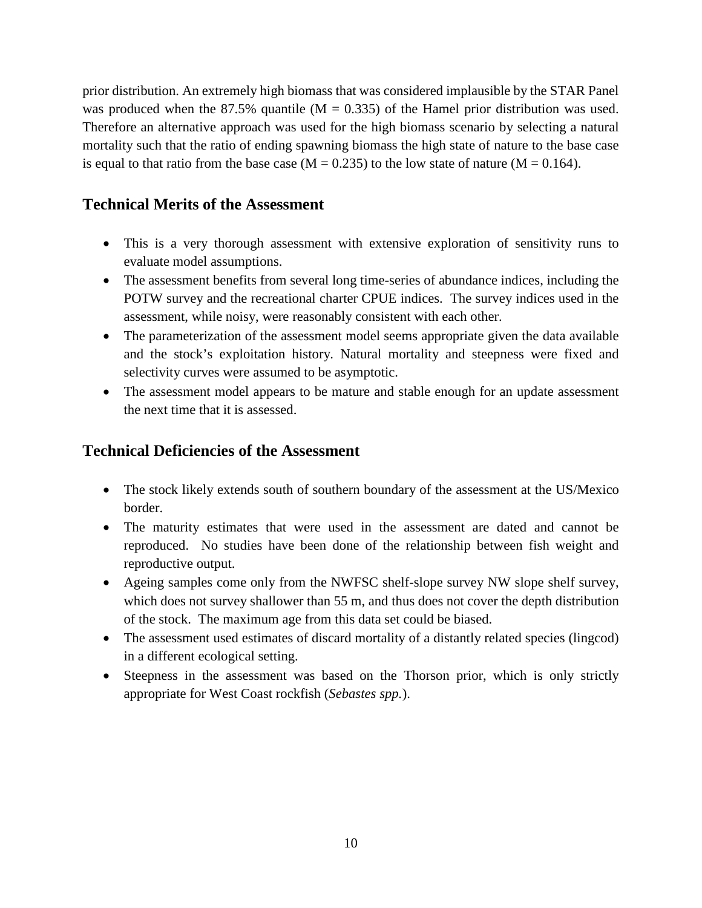prior distribution. An extremely high biomass that was considered implausible by the STAR Panel was produced when the 87.5% quantile  $(M = 0.335)$  of the Hamel prior distribution was used. Therefore an alternative approach was used for the high biomass scenario by selecting a natural mortality such that the ratio of ending spawning biomass the high state of nature to the base case is equal to that ratio from the base case ( $M = 0.235$ ) to the low state of nature ( $M = 0.164$ ).

#### **Technical Merits of the Assessment**

- This is a very thorough assessment with extensive exploration of sensitivity runs to evaluate model assumptions.
- The assessment benefits from several long time-series of abundance indices, including the POTW survey and the recreational charter CPUE indices. The survey indices used in the assessment, while noisy, were reasonably consistent with each other.
- The parameterization of the assessment model seems appropriate given the data available and the stock's exploitation history. Natural mortality and steepness were fixed and selectivity curves were assumed to be asymptotic.
- The assessment model appears to be mature and stable enough for an update assessment the next time that it is assessed.

#### **Technical Deficiencies of the Assessment**

- The stock likely extends south of southern boundary of the assessment at the US/Mexico border.
- The maturity estimates that were used in the assessment are dated and cannot be reproduced. No studies have been done of the relationship between fish weight and reproductive output.
- Ageing samples come only from the NWFSC shelf-slope survey NW slope shelf survey, which does not survey shallower than 55 m, and thus does not cover the depth distribution of the stock. The maximum age from this data set could be biased.
- The assessment used estimates of discard mortality of a distantly related species (lingcod) in a different ecological setting.
- Steepness in the assessment was based on the Thorson prior, which is only strictly appropriate for West Coast rockfish (*Sebastes spp.*).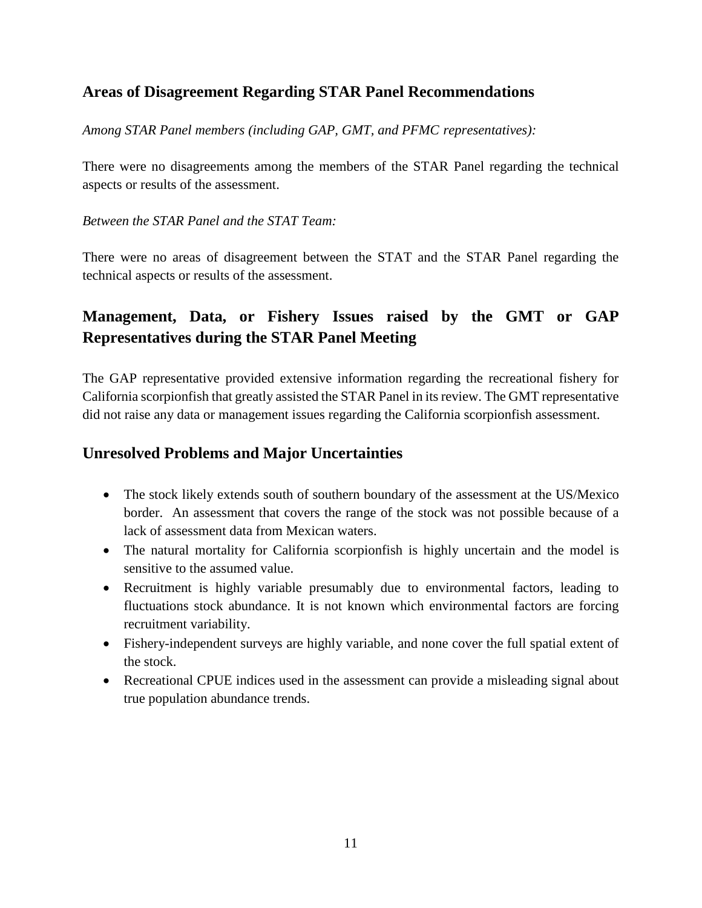#### **Areas of Disagreement Regarding STAR Panel Recommendations**

*Among STAR Panel members (including GAP, GMT, and PFMC representatives):*

There were no disagreements among the members of the STAR Panel regarding the technical aspects or results of the assessment.

#### *Between the STAR Panel and the STAT Team:*

There were no areas of disagreement between the STAT and the STAR Panel regarding the technical aspects or results of the assessment.

## **Management, Data, or Fishery Issues raised by the GMT or GAP Representatives during the STAR Panel Meeting**

The GAP representative provided extensive information regarding the recreational fishery for California scorpionfish that greatly assisted the STAR Panel in its review. The GMT representative did not raise any data or management issues regarding the California scorpionfish assessment.

#### **Unresolved Problems and Major Uncertainties**

- The stock likely extends south of southern boundary of the assessment at the US/Mexico border. An assessment that covers the range of the stock was not possible because of a lack of assessment data from Mexican waters.
- The natural mortality for California scorpionfish is highly uncertain and the model is sensitive to the assumed value.
- Recruitment is highly variable presumably due to environmental factors, leading to fluctuations stock abundance. It is not known which environmental factors are forcing recruitment variability.
- Fishery-independent surveys are highly variable, and none cover the full spatial extent of the stock.
- Recreational CPUE indices used in the assessment can provide a misleading signal about true population abundance trends.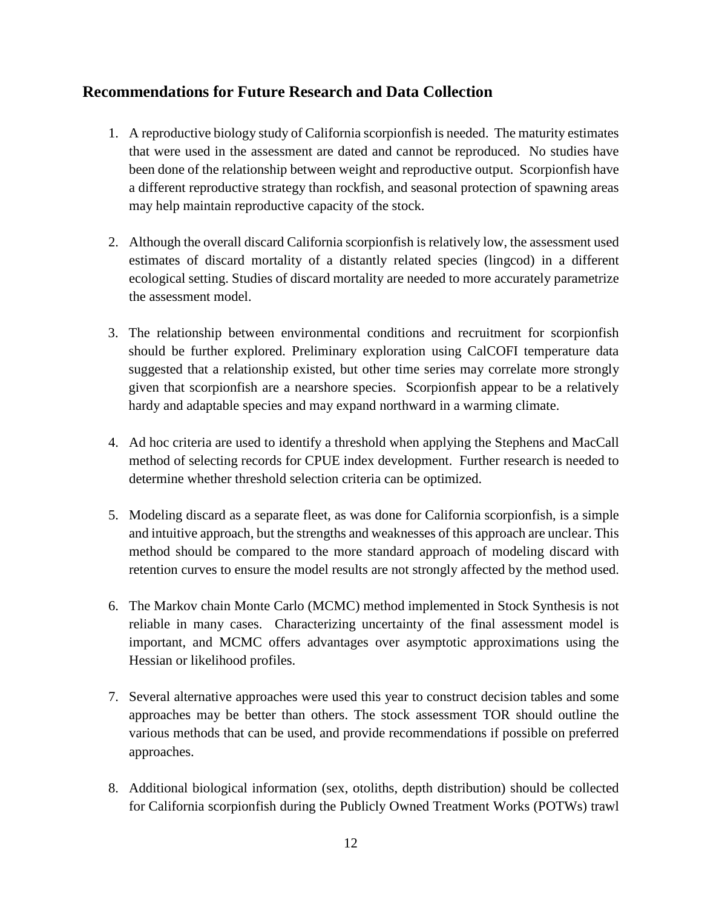#### **Recommendations for Future Research and Data Collection**

- 1. A reproductive biology study of California scorpionfish is needed. The maturity estimates that were used in the assessment are dated and cannot be reproduced. No studies have been done of the relationship between weight and reproductive output. Scorpionfish have a different reproductive strategy than rockfish, and seasonal protection of spawning areas may help maintain reproductive capacity of the stock.
- 2. Although the overall discard California scorpionfish is relatively low, the assessment used estimates of discard mortality of a distantly related species (lingcod) in a different ecological setting. Studies of discard mortality are needed to more accurately parametrize the assessment model.
- 3. The relationship between environmental conditions and recruitment for scorpionfish should be further explored. Preliminary exploration using CalCOFI temperature data suggested that a relationship existed, but other time series may correlate more strongly given that scorpionfish are a nearshore species. Scorpionfish appear to be a relatively hardy and adaptable species and may expand northward in a warming climate.
- 4. Ad hoc criteria are used to identify a threshold when applying the Stephens and MacCall method of selecting records for CPUE index development. Further research is needed to determine whether threshold selection criteria can be optimized.
- 5. Modeling discard as a separate fleet, as was done for California scorpionfish, is a simple and intuitive approach, but the strengths and weaknesses of this approach are unclear. This method should be compared to the more standard approach of modeling discard with retention curves to ensure the model results are not strongly affected by the method used.
- 6. The Markov chain Monte Carlo (MCMC) method implemented in Stock Synthesis is not reliable in many cases. Characterizing uncertainty of the final assessment model is important, and MCMC offers advantages over asymptotic approximations using the Hessian or likelihood profiles.
- 7. Several alternative approaches were used this year to construct decision tables and some approaches may be better than others. The stock assessment TOR should outline the various methods that can be used, and provide recommendations if possible on preferred approaches.
- 8. Additional biological information (sex, otoliths, depth distribution) should be collected for California scorpionfish during the Publicly Owned Treatment Works (POTWs) trawl